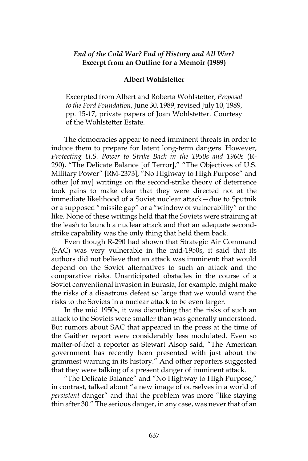## *End of the Cold War? End of History and All War?* **Excerpt from an Outline for a Memoir (1989)**

## **Albert Wohlstetter**

Excerpted from Albert and Roberta Wohlstetter, *Proposal to the Ford Foundation*, June 30, 1989, revised July 10, 1989, pp. 15-17, private papers of Joan Wohlstetter. Courtesy of the Wohlstetter Estate.

The democracies appear to need imminent threats in order to induce them to prepare for latent long-term dangers. However, *Protecting U.S. Power to Strike Back in the 1950s and 1960s* (R-290), "The Delicate Balance [of Terror]," "The Objectives of U.S. Military Power" [RM-2373], "No Highway to High Purpose" and other [of my] writings on the second-strike theory of deterrence took pains to make clear that they were directed not at the immediate likelihood of a Soviet nuclear attack—due to Sputnik or a supposed "missile gap" or a "window of vulnerability" or the like. None of these writings held that the Soviets were straining at the leash to launch a nuclear attack and that an adequate secondstrike capability was the only thing that held them back.

Even though R-290 had shown that Strategic Air Command (SAC) was very vulnerable in the mid-1950s, it said that its authors did not believe that an attack was imminent: that would depend on the Soviet alternatives to such an attack and the comparative risks. Unanticipated obstacles in the course of a Soviet conventional invasion in Eurasia, for example, might make the risks of a disastrous defeat so large that we would want the risks to the Soviets in a nuclear attack to be even larger.

In the mid 1950s, it was disturbing that the risks of such an attack to the Soviets were smaller than was generally understood. But rumors about SAC that appeared in the press at the time of the Gaither report were considerably less modulated. Even so matter-of-fact a reporter as Stewart Alsop said, "The American government has recently been presented with just about the grimmest warning in its history." And other reporters suggested that they were talking of a present danger of imminent attack.

"The Delicate Balance" and "No Highway to High Purpose," in contrast, talked about "a new image of ourselves in a world of *persistent* danger" and that the problem was more "like staying thin after 30." The serious danger, in any case, was never that of an